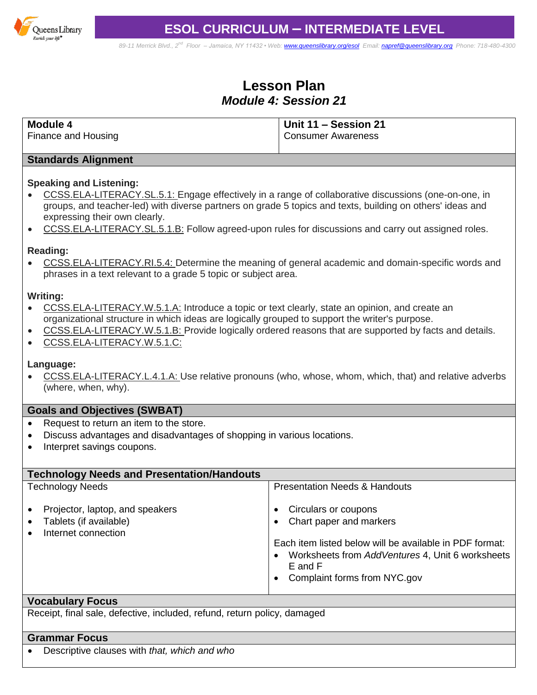

*89-11 Merrick Blvd., 2nd Floor – Jamaica, NY 11432 • Web[: www.queenslibrary.org/esol](http://www.queenslibrary.org/esol) Email: [napref@queenslibrary.org](mailto:napref@queenslibrary.org) Phone: 718-480-4300*

# **Lesson Plan** *Module 4: Session 21*

| Module 4            | Unit 11 – Session 21 |
|---------------------|----------------------|
| Finance and Housing | Consumer Awareness   |

#### **Standards Alignment**

#### **Speaking and Listening:**

- CCSS.ELA-LITERACY.SL.5.1: Engage effectively in a range of collaborative discussions (one-on-one, in groups, and teacher-led) with diverse partners on grade 5 topics and texts, building on others' ideas and expressing their own clearly.
- CCSS.ELA-LITERACY.SL.5.1.B: Follow agreed-upon rules for discussions and carry out assigned roles.

#### **Reading:**

 CCSS.ELA-LITERACY.RI.5.4: Determine the meaning of general academic and domain-specific words and phrases in a text relevant to a grade 5 topic or subject area.

#### **Writing:**

- CCSS.ELA-LITERACY.W.5.1.A: Introduce a topic or text clearly, state an opinion, and create an organizational structure in which ideas are logically grouped to support the writer's purpose.
- CCSS.ELA-LITERACY.W.5.1.B: Provide logically ordered reasons that are supported by facts and details.
- CCSS.ELA-LITERACY.W.5.1.C:

#### **Language:**

 CCSS.ELA-LITERACY.L.4.1.A: Use relative pronouns (who, whose, whom, which, that) and relative adverbs (where, when, why).

#### **Goals and Objectives (SWBAT)**

- Request to return an item to the store.
- Discuss advantages and disadvantages of shopping in various locations.
- Interpret savings coupons.

| <b>Technology Needs and Presentation/Handouts</b>                                                                       |                                                                                                                                                                                                                        |
|-------------------------------------------------------------------------------------------------------------------------|------------------------------------------------------------------------------------------------------------------------------------------------------------------------------------------------------------------------|
| <b>Technology Needs</b>                                                                                                 | <b>Presentation Needs &amp; Handouts</b>                                                                                                                                                                               |
| Projector, laptop, and speakers<br>$\bullet$<br>Tablets (if available)<br>$\bullet$<br>Internet connection<br>$\bullet$ | Circulars or coupons<br>Chart paper and markers<br>Each item listed below will be available in PDF format:<br>Worksheets from AddVentures 4, Unit 6 worksheets<br>$\bullet$<br>E and F<br>Complaint forms from NYC.gov |

#### **Vocabulary Focus**

Receipt, final sale, defective, included, refund, return policy, damaged

#### **Grammar Focus**

Descriptive clauses with *that, which and who*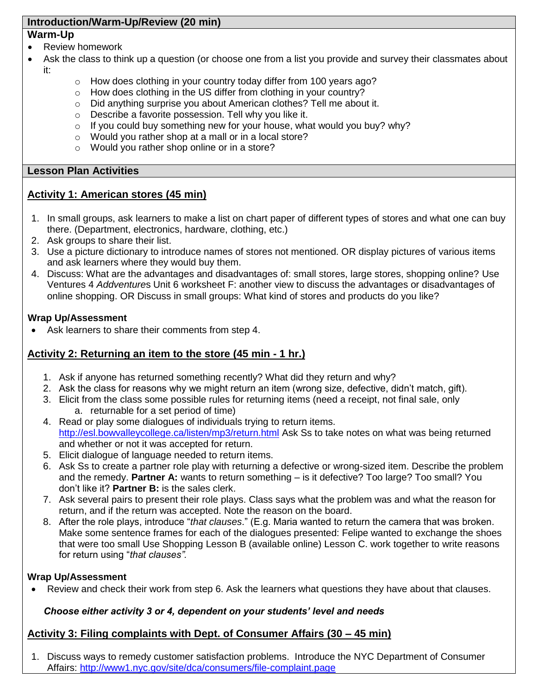# **Introduction/Warm-Up/Review (20 min)**

# **Warm-Up**

- Review homework
- Ask the class to think up a question (or choose one from a list you provide and survey their classmates about it:
	- o How does clothing in your country today differ from 100 years ago?
	- o How does clothing in the US differ from clothing in your country?
	- o Did anything surprise you about American clothes? Tell me about it.
	- o Describe a favorite possession. Tell why you like it.
	- o If you could buy something new for your house, what would you buy? why?
	- o Would you rather shop at a mall or in a local store?
	- o Would you rather shop online or in a store?

## **Lesson Plan Activities**

# **Activity 1: American stores (45 min)**

- 1. In small groups, ask learners to make a list on chart paper of different types of stores and what one can buy there. (Department, electronics, hardware, clothing, etc.)
- 2. Ask groups to share their list.
- 3. Use a picture dictionary to introduce names of stores not mentioned. OR display pictures of various items and ask learners where they would buy them.
- 4. Discuss: What are the advantages and disadvantages of: small stores, large stores, shopping online? Use Ventures 4 *Addventure*s Unit 6 worksheet F: another view to discuss the advantages or disadvantages of online shopping. OR Discuss in small groups: What kind of stores and products do you like?

### **Wrap Up/Assessment**

• Ask learners to share their comments from step 4.

# **Activity 2: Returning an item to the store (45 min - 1 hr.)**

- 1. Ask if anyone has returned something recently? What did they return and why?
- 2. Ask the class for reasons why we might return an item (wrong size, defective, didn't match, gift).
- 3. Elicit from the class some possible rules for returning items (need a receipt, not final sale, only
	- a. returnable for a set period of time)
- 4. Read or play some dialogues of individuals trying to return items. <http://esl.bowvalleycollege.ca/listen/mp3/return.html> Ask Ss to take notes on what was being returned and whether or not it was accepted for return.
- 5. Elicit dialogue of language needed to return items.
- 6. Ask Ss to create a partner role play with returning a defective or wrong-sized item. Describe the problem and the remedy. **Partner A:** wants to return something – is it defective? Too large? Too small? You don't like it? **Partner B:** is the sales clerk.
- 7. Ask several pairs to present their role plays. Class says what the problem was and what the reason for return, and if the return was accepted. Note the reason on the board.
- 8. After the role plays, introduce "*that clauses*." (E.g. Maria wanted to return the camera that was broken. Make some sentence frames for each of the dialogues presented: Felipe wanted to exchange the shoes that were too small Use Shopping Lesson B (available online) Lesson C. work together to write reasons for return using "*that clauses".*

## **Wrap Up/Assessment**

Review and check their work from step 6. Ask the learners what questions they have about that clauses.

## *Choose either activity 3 or 4, dependent on your students' level and needs*

# **Activity 3: Filing complaints with Dept. of Consumer Affairs (30 – 45 min)**

1. Discuss ways to remedy customer satisfaction problems. Introduce the NYC Department of Consumer Affairs:<http://www1.nyc.gov/site/dca/consumers/file-complaint.page>